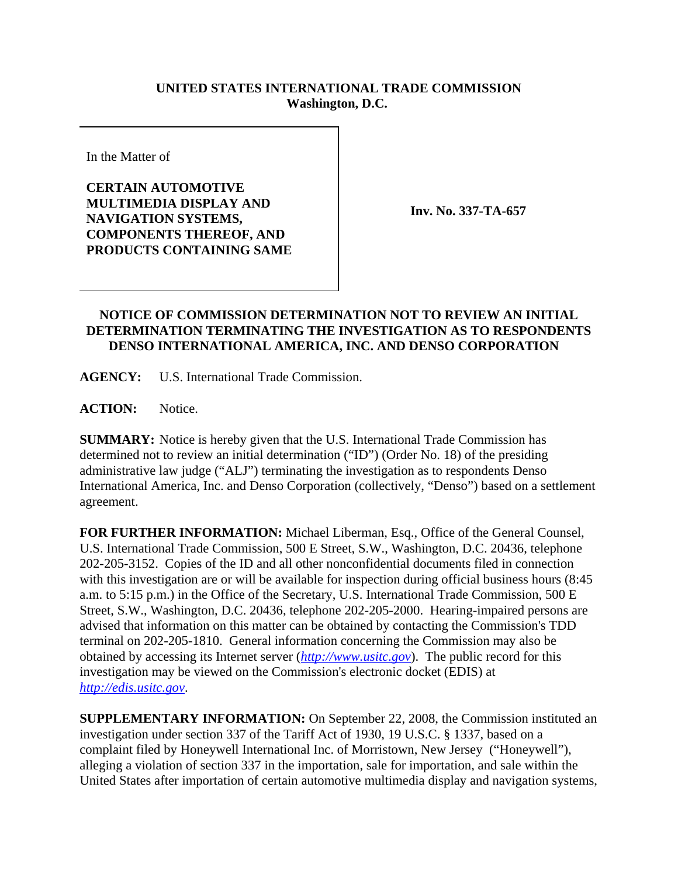## **UNITED STATES INTERNATIONAL TRADE COMMISSION Washington, D.C.**

In the Matter of

**CERTAIN AUTOMOTIVE MULTIMEDIA DISPLAY AND NAVIGATION SYSTEMS, COMPONENTS THEREOF, AND PRODUCTS CONTAINING SAME**

**Inv. No. 337-TA-657**

## **NOTICE OF COMMISSION DETERMINATION NOT TO REVIEW AN INITIAL DETERMINATION TERMINATING THE INVESTIGATION AS TO RESPONDENTS DENSO INTERNATIONAL AMERICA, INC. AND DENSO CORPORATION**

**AGENCY:** U.S. International Trade Commission.

**ACTION:** Notice.

**SUMMARY:** Notice is hereby given that the U.S. International Trade Commission has determined not to review an initial determination ("ID") (Order No. 18) of the presiding administrative law judge ("ALJ") terminating the investigation as to respondents Denso International America, Inc. and Denso Corporation (collectively, "Denso") based on a settlement agreement.

**FOR FURTHER INFORMATION:** Michael Liberman, Esq., Office of the General Counsel, U.S. International Trade Commission, 500 E Street, S.W., Washington, D.C. 20436, telephone 202-205-3152. Copies of the ID and all other nonconfidential documents filed in connection with this investigation are or will be available for inspection during official business hours (8:45 a.m. to 5:15 p.m.) in the Office of the Secretary, U.S. International Trade Commission, 500 E Street, S.W., Washington, D.C. 20436, telephone 202-205-2000. Hearing-impaired persons are advised that information on this matter can be obtained by contacting the Commission's TDD terminal on 202-205-1810. General information concerning the Commission may also be obtained by accessing its Internet server (*http://www.usitc.gov*). The public record for this investigation may be viewed on the Commission's electronic docket (EDIS) at *http://edis.usitc.gov*.

**SUPPLEMENTARY INFORMATION:** On September 22, 2008, the Commission instituted an investigation under section 337 of the Tariff Act of 1930, 19 U.S.C. § 1337, based on a complaint filed by Honeywell International Inc. of Morristown, New Jersey ("Honeywell"), alleging a violation of section 337 in the importation, sale for importation, and sale within the United States after importation of certain automotive multimedia display and navigation systems,